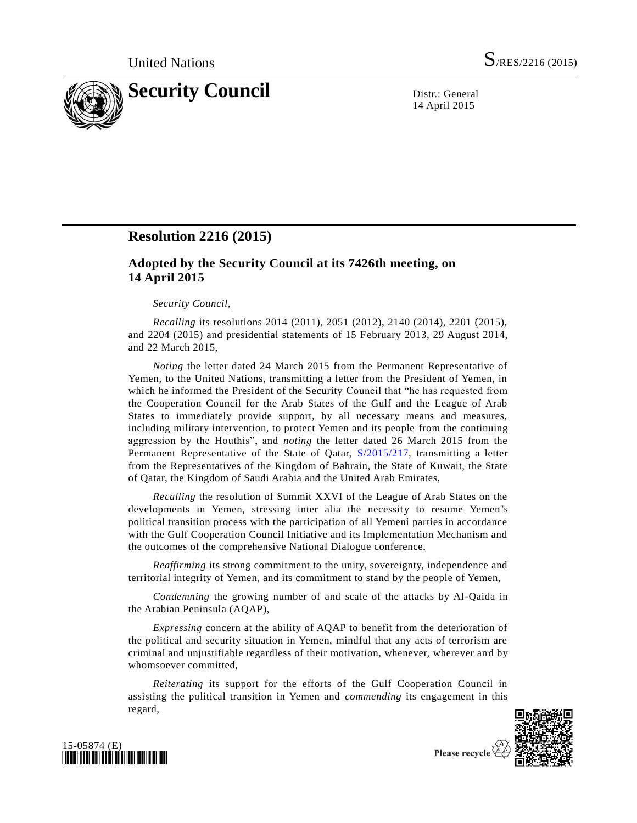

14 April 2015

# **Resolution 2216 (2015)**

## **Adopted by the Security Council at its 7426th meeting, on 14 April 2015**

### *Security Council*,

*Recalling* its resolutions 2014 (2011), 2051 (2012), 2140 (2014), 2201 (2015), and 2204 (2015) and presidential statements of 15 February 2013, 29 August 2014, and 22 March 2015,

*Noting* the letter dated 24 March 2015 from the Permanent Representative of Yemen, to the United Nations, transmitting a letter from the President of Yemen, in which he informed the President of the Security Council that "he has requested from the Cooperation Council for the Arab States of the Gulf and the League of Arab States to immediately provide support, by all necessary means and measures, including military intervention, to protect Yemen and its people from the continuing aggression by the Houthis", and *noting* the letter dated 26 March 2015 from the Permanent Representative of the State of Qatar, [S/2015/217,](http://undocs.org/S/2015/217) transmitting a letter from the Representatives of the Kingdom of Bahrain, the State of Kuwait, the State of Qatar, the Kingdom of Saudi Arabia and the United Arab Emirates,

*Recalling* the resolution of Summit XXVI of the League of Arab States on the developments in Yemen, stressing inter alia the necessity to resume Yemen's political transition process with the participation of all Yemeni parties in accordance with the Gulf Cooperation Council Initiative and its Implementation Mechanism and the outcomes of the comprehensive National Dialogue conference,

*Reaffirming* its strong commitment to the unity, sovereignty, independence and territorial integrity of Yemen, and its commitment to stand by the people of Yemen,

*Condemning* the growing number of and scale of the attacks by Al-Qaida in the Arabian Peninsula (AQAP),

*Expressing* concern at the ability of AQAP to benefit from the deterioration of the political and security situation in Yemen, mindful that any acts of terrorism are criminal and unjustifiable regardless of their motivation, whenever, wherever an d by whomsoever committed,

*Reiterating* its support for the efforts of the Gulf Cooperation Council in assisting the political transition in Yemen and *commending* its engagement in this regard,



15-05874 (E) *\*1505874\**

Please recycle  $\overline{\mathcal{C}}$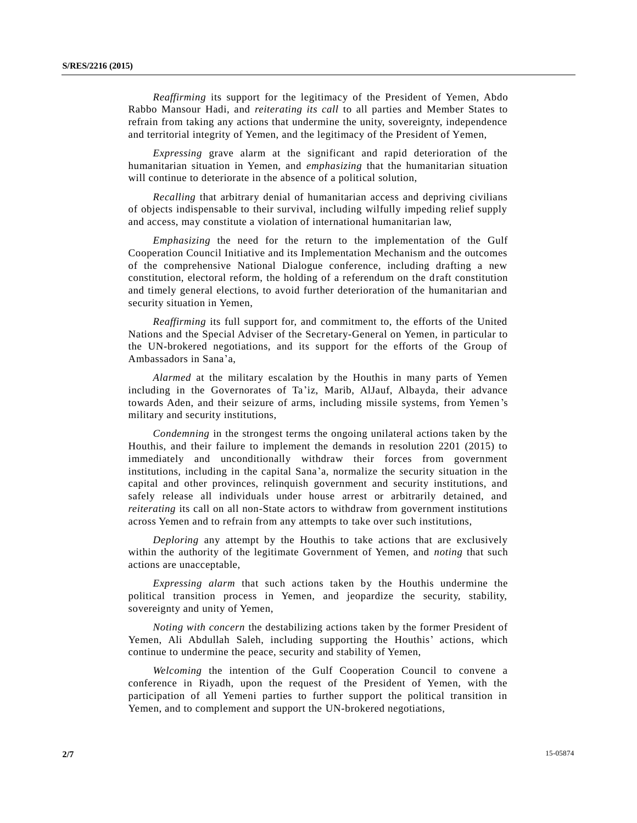*Reaffirming* its support for the legitimacy of the President of Yemen, Abdo Rabbo Mansour Hadi, and *reiterating its call* to all parties and Member States to refrain from taking any actions that undermine the unity, sovereignty, independence and territorial integrity of Yemen, and the legitimacy of the President of Yemen,

*Expressing* grave alarm at the significant and rapid deterioration of the humanitarian situation in Yemen, and *emphasizing* that the humanitarian situation will continue to deteriorate in the absence of a political solution,

*Recalling* that arbitrary denial of humanitarian access and depriving civilians of objects indispensable to their survival, including wilfully impeding relief supply and access, may constitute a violation of international humanitarian law,

*Emphasizing* the need for the return to the implementation of the Gulf Cooperation Council Initiative and its Implementation Mechanism and the outcomes of the comprehensive National Dialogue conference, including drafting a new constitution, electoral reform, the holding of a referendum on the draft constitution and timely general elections, to avoid further deterioration of the humanitarian and security situation in Yemen,

*Reaffirming* its full support for, and commitment to, the efforts of the United Nations and the Special Adviser of the Secretary-General on Yemen, in particular to the UN-brokered negotiations, and its support for the efforts of the Group of Ambassadors in Sana'a,

*Alarmed* at the military escalation by the Houthis in many parts of Yemen including in the Governorates of Ta'iz, Marib, AlJauf, Albayda, their advance towards Aden, and their seizure of arms, including missile systems, from Yemen's military and security institutions,

*Condemning* in the strongest terms the ongoing unilateral actions taken by the Houthis, and their failure to implement the demands in resolution 2201 (2015) to immediately and unconditionally withdraw their forces from government institutions, including in the capital Sana'a, normalize the security situation in the capital and other provinces, relinquish government and security institutions, and safely release all individuals under house arrest or arbitrarily detained, and *reiterating* its call on all non-State actors to withdraw from government institutions across Yemen and to refrain from any attempts to take over such institutions,

*Deploring* any attempt by the Houthis to take actions that are exclusively within the authority of the legitimate Government of Yemen, and *noting* that such actions are unacceptable,

*Expressing alarm* that such actions taken by the Houthis undermine the political transition process in Yemen, and jeopardize the security, stability, sovereignty and unity of Yemen,

*Noting with concern* the destabilizing actions taken by the former President of Yemen, Ali Abdullah Saleh, including supporting the Houthis' actions, which continue to undermine the peace, security and stability of Yemen,

*Welcoming* the intention of the Gulf Cooperation Council to convene a conference in Riyadh, upon the request of the President of Yemen, with the participation of all Yemeni parties to further support the political transition in Yemen, and to complement and support the UN-brokered negotiations,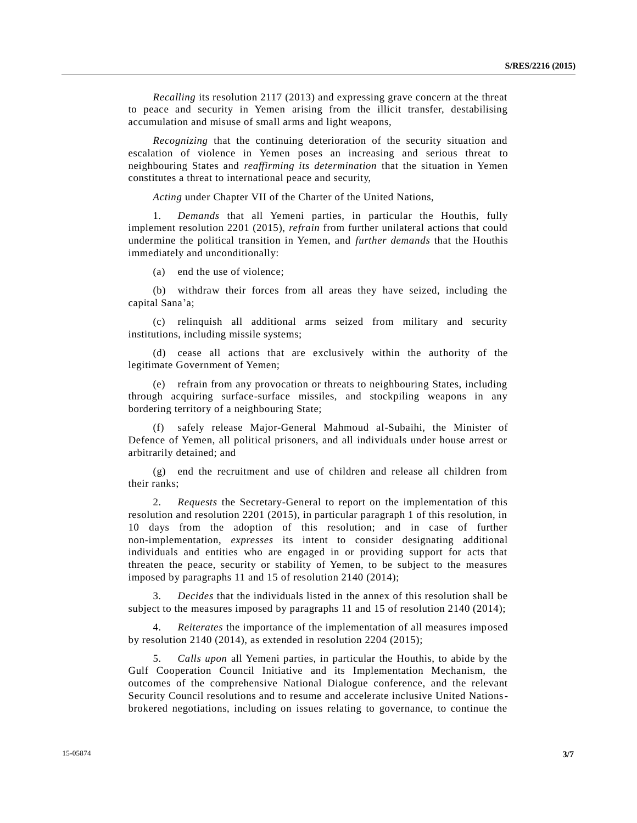*Recalling* its resolution 2117 (2013) and expressing grave concern at the threat to peace and security in Yemen arising from the illicit transfer, destabilising accumulation and misuse of small arms and light weapons,

*Recognizing* that the continuing deterioration of the security situation and escalation of violence in Yemen poses an increasing and serious threat to neighbouring States and *reaffirming its determination* that the situation in Yemen constitutes a threat to international peace and security,

*Acting* under Chapter VII of the Charter of the United Nations,

1. *Demands* that all Yemeni parties, in particular the Houthis, fully implement resolution 2201 (2015), *refrain* from further unilateral actions that could undermine the political transition in Yemen, and *further demands* that the Houthis immediately and unconditionally:

(a) end the use of violence;

(b) withdraw their forces from all areas they have seized, including the capital Sana'a;

(c) relinquish all additional arms seized from military and security institutions, including missile systems;

(d) cease all actions that are exclusively within the authority of the legitimate Government of Yemen;

(e) refrain from any provocation or threats to neighbouring States, including through acquiring surface-surface missiles, and stockpiling weapons in any bordering territory of a neighbouring State;

safely release Major-General Mahmoud al-Subaihi, the Minister of Defence of Yemen, all political prisoners, and all individuals under house arrest or arbitrarily detained; and

(g) end the recruitment and use of children and release all children from their ranks;

2. *Requests* the Secretary-General to report on the implementation of this resolution and resolution 2201 (2015), in particular paragraph 1 of this resolution, in 10 days from the adoption of this resolution; and in case of further non-implementation, *expresses* its intent to consider designating additional individuals and entities who are engaged in or providing support for acts that threaten the peace, security or stability of Yemen, to be subject to the measures imposed by paragraphs 11 and 15 of resolution 2140 (2014);

3. *Decides* that the individuals listed in the annex of this resolution shall be subject to the measures imposed by paragraphs 11 and 15 of resolution 2140 (2014);

4. *Reiterates* the importance of the implementation of all measures imposed by resolution 2140 (2014), as extended in resolution 2204 (2015);

5. *Calls upon* all Yemeni parties, in particular the Houthis, to abide by the Gulf Cooperation Council Initiative and its Implementation Mechanism, the outcomes of the comprehensive National Dialogue conference, and the relevant Security Council resolutions and to resume and accelerate inclusive United Nationsbrokered negotiations, including on issues relating to governance, to continue the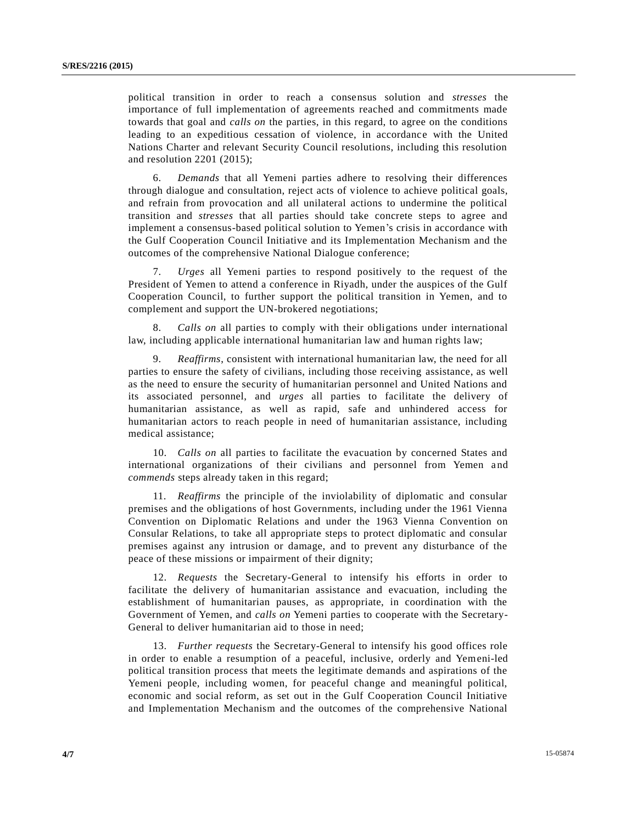political transition in order to reach a consensus solution and *stresses* the importance of full implementation of agreements reached and commitments made towards that goal and *calls on* the parties, in this regard, to agree on the conditions leading to an expeditious cessation of violence, in accordance with the United Nations Charter and relevant Security Council resolutions, including this resolution and resolution 2201 (2015);

6. *Demands* that all Yemeni parties adhere to resolving their differences through dialogue and consultation, reject acts of violence to achieve political goals, and refrain from provocation and all unilateral actions to undermine the political transition and *stresses* that all parties should take concrete steps to agree and implement a consensus-based political solution to Yemen's crisis in accordance with the Gulf Cooperation Council Initiative and its Implementation Mechanism and the outcomes of the comprehensive National Dialogue conference;

7. *Urges* all Yemeni parties to respond positively to the request of the President of Yemen to attend a conference in Riyadh, under the auspices of the Gulf Cooperation Council, to further support the political transition in Yemen, and to complement and support the UN-brokered negotiations;

8. *Calls on* all parties to comply with their obligations under international law, including applicable international humanitarian law and human rights law;

9. *Reaffirms*, consistent with international humanitarian law, the need for all parties to ensure the safety of civilians, including those receiving assistance, as well as the need to ensure the security of humanitarian personnel and United Nations and its associated personnel, and *urges* all parties to facilitate the delivery of humanitarian assistance, as well as rapid, safe and unhindered access for humanitarian actors to reach people in need of humanitarian assistance, including medical assistance;

10. *Calls on* all parties to facilitate the evacuation by concerned States and international organizations of their civilians and personnel from Yemen and *commends* steps already taken in this regard;

11. *Reaffirms* the principle of the inviolability of diplomatic and consular premises and the obligations of host Governments, including under the 1961 Vienna Convention on Diplomatic Relations and under the 1963 Vienna Convention on Consular Relations, to take all appropriate steps to protect diplomatic and consular premises against any intrusion or damage, and to prevent any disturbance of the peace of these missions or impairment of their dignity;

12. *Requests* the Secretary-General to intensify his efforts in order to facilitate the delivery of humanitarian assistance and evacuation, including the establishment of humanitarian pauses, as appropriate, in coordination with the Government of Yemen, and *calls on* Yemeni parties to cooperate with the Secretary-General to deliver humanitarian aid to those in need;

13. *Further requests* the Secretary-General to intensify his good offices role in order to enable a resumption of a peaceful, inclusive, orderly and Yemeni-led political transition process that meets the legitimate demands and aspirations of the Yemeni people, including women, for peaceful change and meaningful political, economic and social reform, as set out in the Gulf Cooperation Council Initiative and Implementation Mechanism and the outcomes of the comprehensive National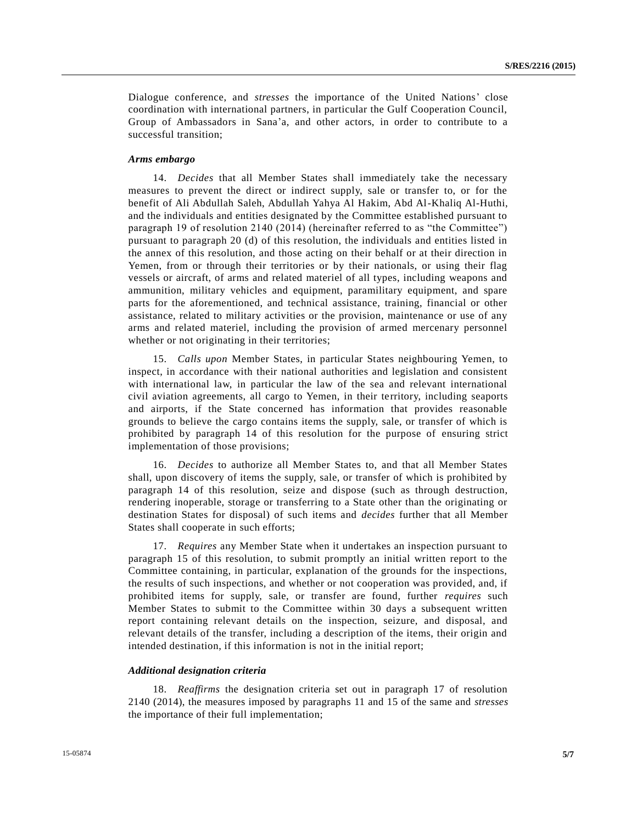Dialogue conference, and *stresses* the importance of the United Nations' close coordination with international partners, in particular the Gulf Cooperation Council, Group of Ambassadors in Sana'a, and other actors, in order to contribute to a successful transition;

## *Arms embargo*

14. *Decides* that all Member States shall immediately take the necessary measures to prevent the direct or indirect supply, sale or transfer to, or for the benefit of Ali Abdullah Saleh, Abdullah Yahya Al Hakim, Abd Al-Khaliq Al-Huthi, and the individuals and entities designated by the Committee established pursuant to paragraph 19 of resolution 2140 (2014) (hereinafter referred to as "the Committee") pursuant to paragraph 20 (d) of this resolution, the individuals and entities listed in the annex of this resolution, and those acting on their behalf or at their direction in Yemen, from or through their territories or by their nationals, or using their flag vessels or aircraft, of arms and related materiel of all types, including weapons and ammunition, military vehicles and equipment, paramilitary equipment, and spare parts for the aforementioned, and technical assistance, training, financial or other assistance, related to military activities or the provision, maintenance or use of any arms and related materiel, including the provision of armed mercenary personnel whether or not originating in their territories;

15. *Calls upon* Member States, in particular States neighbouring Yemen, to inspect, in accordance with their national authorities and legislation and consistent with international law, in particular the law of the sea and relevant international civil aviation agreements, all cargo to Yemen, in their territory, including seaports and airports, if the State concerned has information that provides reasonable grounds to believe the cargo contains items the supply, sale, or transfer of which is prohibited by paragraph 14 of this resolution for the purpose of ensuring strict implementation of those provisions;

16. *Decides* to authorize all Member States to, and that all Member States shall, upon discovery of items the supply, sale, or transfer of which is prohibited by paragraph 14 of this resolution, seize and dispose (such as through destruction, rendering inoperable, storage or transferring to a State other than the originating or destination States for disposal) of such items and *decides* further that all Member States shall cooperate in such efforts;

17. *Requires* any Member State when it undertakes an inspection pursuant to paragraph 15 of this resolution, to submit promptly an initial written report to the Committee containing, in particular, explanation of the grounds for the inspections, the results of such inspections, and whether or not cooperation was provided, and, if prohibited items for supply, sale, or transfer are found, further *requires* such Member States to submit to the Committee within 30 days a subsequent written report containing relevant details on the inspection, seizure, and disposal, and relevant details of the transfer, including a description of the items, their origin and intended destination, if this information is not in the initial report;

#### *Additional designation criteria*

18. *Reaffirms* the designation criteria set out in paragraph 17 of resolution 2140 (2014), the measures imposed by paragraphs 11 and 15 of the same and *stresses* the importance of their full implementation;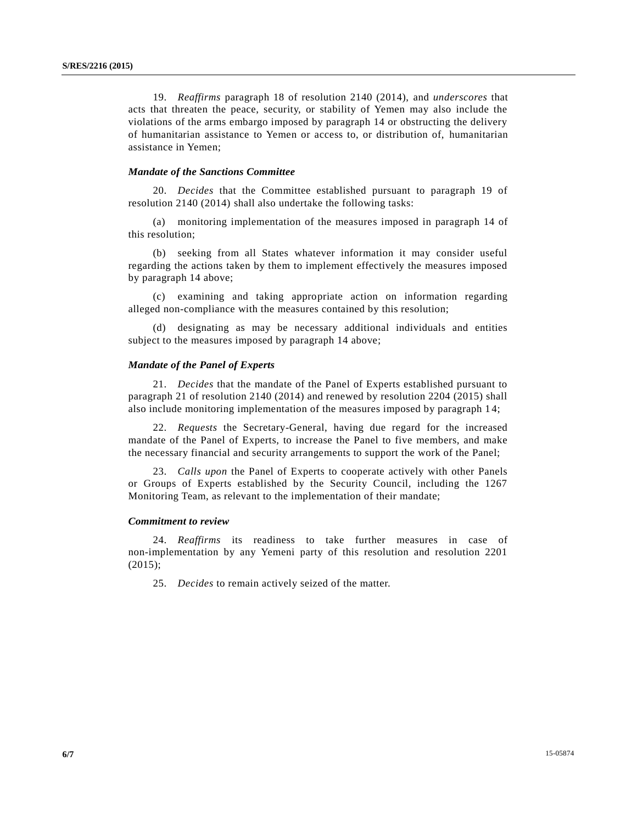19. *Reaffirms* paragraph 18 of resolution 2140 (2014), and *underscores* that acts that threaten the peace, security, or stability of Yemen may also include the violations of the arms embargo imposed by paragraph 14 or obstructing the delivery of humanitarian assistance to Yemen or access to, or distribution of, humanitarian assistance in Yemen;

#### *Mandate of the Sanctions Committee*

20. *Decides* that the Committee established pursuant to paragraph 19 of resolution 2140 (2014) shall also undertake the following tasks:

(a) monitoring implementation of the measures imposed in paragraph 14 of this resolution;

(b) seeking from all States whatever information it may consider useful regarding the actions taken by them to implement effectively the measures imposed by paragraph 14 above;

(c) examining and taking appropriate action on information regarding alleged non-compliance with the measures contained by this resolution;

(d) designating as may be necessary additional individuals and entities subject to the measures imposed by paragraph 14 above;

## *Mandate of the Panel of Experts*

21. *Decides* that the mandate of the Panel of Experts established pursuant to paragraph 21 of resolution 2140 (2014) and renewed by resolution 2204 (2015) shall also include monitoring implementation of the measures imposed by paragraph 1 4;

22. *Requests* the Secretary-General, having due regard for the increased mandate of the Panel of Experts, to increase the Panel to five members, and make the necessary financial and security arrangements to support the work of the Panel;

23. *Calls upon* the Panel of Experts to cooperate actively with other Panels or Groups of Experts established by the Security Council, including the 1267 Monitoring Team, as relevant to the implementation of their mandate;

#### *Commitment to review*

24. *Reaffirms* its readiness to take further measures in case of non-implementation by any Yemeni party of this resolution and resolution 2201 (2015);

25. *Decides* to remain actively seized of the matter.